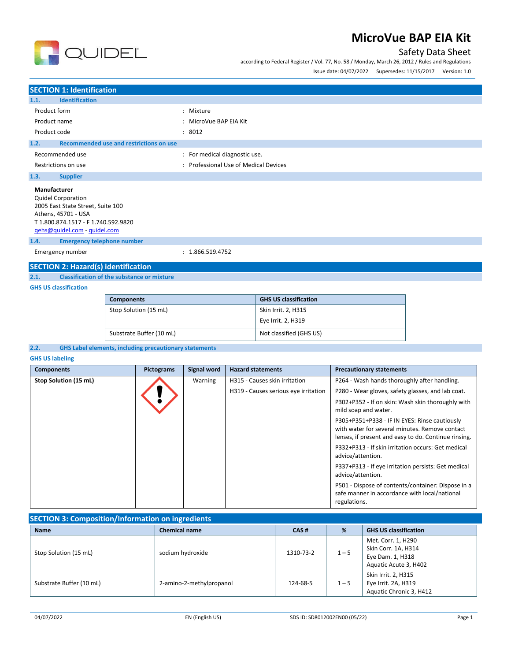

according to Federal Register / Vol. 77, No. 58 / Monday, March 26, 2012 / Rules and Regulations



Issue date: 04/07/2022 Supersedes: 11/15/2017 Version: 1.0

# **SECTION 1: Identification 1.1. Identification** Product form  $\qquad \qquad : \qquad$  Mixture Product name  $\qquad \qquad$ : MicroVue BAP EIA Kit Product code : 8012 **1.2. Recommended use and restrictions on use** Recommended use  $\qquad \qquad$ : For medical diagnostic use. Restrictions on use **Secure 2018** Channel 2013 : Professional Use of Medical Devices **1.3. Supplier Manufacturer** Quidel Corporation 2005 East State Street, Suite 100 Athens, 45701 - USA T 1.800.874.1517 - F 1.740.592.9820 [qehs@quidel.com](mailto:qehs@quidel.com) - [quidel.com](http://quidel.com/) **1.4. Emergency telephone number** Emergency number : 1.866.519.4752 **SECTION 2: Hazard(s) identification**

**2.1. Classification of the substance or mixture**

## **GHS US classification**

| <b>Components</b>        | <b>GHS US classification</b> |
|--------------------------|------------------------------|
| Stop Solution (15 mL)    | Skin Irrit. 2, H315          |
|                          | Eye Irrit. 2, H319           |
| Substrate Buffer (10 mL) | Not classified (GHS US)      |

### **2.2. GHS Label elements, including precautionary statements**

#### **GHS US labeling**

| <b>Components</b>     | <b>Pictograms</b> | Signal word | <b>Hazard statements</b>             | <b>Precautionary statements</b>                                                                                                                         |
|-----------------------|-------------------|-------------|--------------------------------------|---------------------------------------------------------------------------------------------------------------------------------------------------------|
| Stop Solution (15 mL) |                   | Warning     | H315 - Causes skin irritation        | P264 - Wash hands thoroughly after handling.                                                                                                            |
|                       |                   |             | H319 - Causes serious eye irritation | P280 - Wear gloves, safety glasses, and lab coat.                                                                                                       |
|                       |                   |             |                                      | P302+P352 - If on skin: Wash skin thoroughly with<br>mild soap and water.                                                                               |
|                       |                   |             |                                      | P305+P351+P338 - IF IN EYES: Rinse cautiously<br>with water for several minutes. Remove contact<br>lenses, if present and easy to do. Continue rinsing. |
|                       |                   |             |                                      | P332+P313 - If skin irritation occurs: Get medical<br>advice/attention.                                                                                 |
|                       |                   |             |                                      | P337+P313 - If eye irritation persists: Get medical<br>advice/attention.                                                                                |
|                       |                   |             |                                      | P501 - Dispose of contents/container: Dispose in a<br>safe manner in accordance with local/national<br>regulations.                                     |

| <b>SECTION 3: Composition/Information on ingredients</b> |                          |           |         |                              |
|----------------------------------------------------------|--------------------------|-----------|---------|------------------------------|
| <b>Name</b>                                              | <b>Chemical name</b>     | CAS#      | %       | <b>GHS US classification</b> |
|                                                          | sodium hydroxide         | 1310-73-2 | $1 - 5$ | Met. Corr. 1, H290           |
| Stop Solution (15 mL)                                    |                          |           |         | Skin Corr. 1A, H314          |
|                                                          |                          |           |         | Eye Dam. 1, H318             |
|                                                          |                          |           |         | Aquatic Acute 3, H402        |
|                                                          |                          |           |         | Skin Irrit. 2, H315          |
| Substrate Buffer (10 mL)                                 | 2-amino-2-methylpropanol | 124-68-5  | $1 - 5$ | Eye Irrit. 2A, H319          |
|                                                          |                          |           |         | Aquatic Chronic 3, H412      |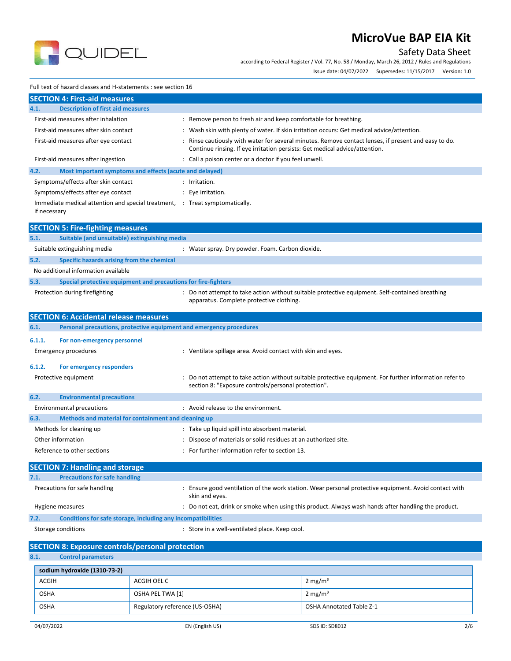

# Safety Data Sheet

according to Federal Register / Vol. 77, No. 58 / Monday, March 26, 2012 / Rules and Regulations

Issue date: 04/07/2022 Supersedes: 11/15/2017 Version: 1.0

## Full text of hazard classes and H-statements : see section 16

|              | <b>SECTION 4: First-aid measures</b>                                        |                      |                                                                                                                                                                                   |
|--------------|-----------------------------------------------------------------------------|----------------------|-----------------------------------------------------------------------------------------------------------------------------------------------------------------------------------|
| 4.1.         | <b>Description of first aid measures</b>                                    |                      |                                                                                                                                                                                   |
|              | First-aid measures after inhalation                                         |                      | : Remove person to fresh air and keep comfortable for breathing.                                                                                                                  |
|              | First-aid measures after skin contact                                       |                      | : Wash skin with plenty of water. If skin irritation occurs: Get medical advice/attention.                                                                                        |
|              | First-aid measures after eye contact                                        | $\ddot{\phantom{a}}$ | Rinse cautiously with water for several minutes. Remove contact lenses, if present and easy to do.<br>Continue rinsing. If eye irritation persists: Get medical advice/attention. |
|              | First-aid measures after ingestion                                          |                      | : Call a poison center or a doctor if you feel unwell.                                                                                                                            |
| 4.2.         | Most important symptoms and effects (acute and delayed)                     |                      |                                                                                                                                                                                   |
|              | Symptoms/effects after skin contact                                         |                      | : Irritation.                                                                                                                                                                     |
|              | Symptoms/effects after eye contact                                          |                      | Eye irritation.                                                                                                                                                                   |
| if necessary | Immediate medical attention and special treatment, : Treat symptomatically. |                      |                                                                                                                                                                                   |
|              | <b>SECTION 5: Fire-fighting measures</b>                                    |                      |                                                                                                                                                                                   |
| 5.1.         | Suitable (and unsuitable) extinguishing media                               |                      |                                                                                                                                                                                   |
|              | Suitable extinguishing media                                                |                      | : Water spray. Dry powder. Foam. Carbon dioxide.                                                                                                                                  |
| 5.2.         | Specific hazards arising from the chemical                                  |                      |                                                                                                                                                                                   |
|              | No additional information available                                         |                      |                                                                                                                                                                                   |
| 5.3.         | Special protective equipment and precautions for fire-fighters              |                      |                                                                                                                                                                                   |
|              | Protection during firefighting                                              |                      | Do not attempt to take action without suitable protective equipment. Self-contained breathing<br>apparatus. Complete protective clothing.                                         |
|              | <b>SECTION 6: Accidental release measures</b>                               |                      |                                                                                                                                                                                   |
| 6.1.         | Personal precautions, protective equipment and emergency procedures         |                      |                                                                                                                                                                                   |
| 6.1.1.       | For non-emergency personnel                                                 |                      |                                                                                                                                                                                   |
|              | <b>Emergency procedures</b>                                                 |                      | : Ventilate spillage area. Avoid contact with skin and eyes.                                                                                                                      |
|              |                                                                             |                      |                                                                                                                                                                                   |
| 6.1.2.       | For emergency responders<br>Protective equipment                            |                      | Do not attempt to take action without suitable protective equipment. For further information refer to<br>section 8: "Exposure controls/personal protection".                      |
| 6.2.         | <b>Environmental precautions</b>                                            |                      |                                                                                                                                                                                   |
|              | <b>Environmental precautions</b>                                            |                      | : Avoid release to the environment.                                                                                                                                               |
| 6.3.         | Methods and material for containment and cleaning up                        |                      |                                                                                                                                                                                   |
|              | Methods for cleaning up                                                     |                      | : Take up liquid spill into absorbent material.                                                                                                                                   |
|              | Other information                                                           |                      | Dispose of materials or solid residues at an authorized site.                                                                                                                     |
|              | Reference to other sections                                                 |                      | For further information refer to section 13.                                                                                                                                      |
|              | <b>SECTION 7: Handling and storage</b>                                      |                      |                                                                                                                                                                                   |
| 7.1.         | <b>Precautions for safe handling</b>                                        |                      |                                                                                                                                                                                   |
|              | Precautions for safe handling                                               |                      | Ensure good ventilation of the work station. Wear personal protective equipment. Avoid contact with<br>skin and eyes.                                                             |
|              | Hygiene measures                                                            |                      | : Do not eat, drink or smoke when using this product. Always wash hands after handling the product.                                                                               |
| 7.2.         | Conditions for safe storage, including any incompatibilities                |                      |                                                                                                                                                                                   |
|              | Storage conditions                                                          |                      | : Store in a well-ventilated place. Keep cool.                                                                                                                                    |
|              | <b>SECTION 8: Exposure controls/personal protection</b>                     |                      |                                                                                                                                                                                   |
| 8.1.         | <b>Control parameters</b>                                                   |                      |                                                                                                                                                                                   |
|              | sodium hydroxide (1310-73-2)                                                |                      |                                                                                                                                                                                   |
| <b>ACGIH</b> | ACGIH OFL C                                                                 |                      | $2 \text{ mg/m}^3$                                                                                                                                                                |

| <b>ACGIH</b> | ACGIH OEL C                    | 2 mg/m <sup>3</sup>             |
|--------------|--------------------------------|---------------------------------|
| <b>OSHA</b>  | OSHA PEL TWA [1]               | 2 mg/m <sup>3</sup>             |
| <b>OSHA</b>  | Regulatory reference (US-OSHA) | <b>OSHA Annotated Table Z-1</b> |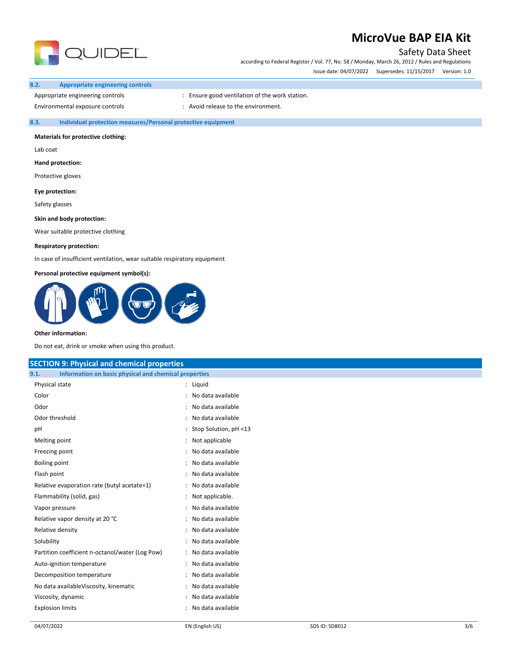

# Safety Data Sheet

according to Federal Register / Vol. 77, No. 58 / Monday, March 26, 2012 / Rules and Regulations Issue date: 04/07/2022 Supersedes: 11/15/2017 Version: 1.0

### **8.2. Appropriate engineering controls**

Appropriate engineering controls **interpretent controls** : Ensure good ventilation of the work station.

Environmental exposure controls  $\cdot$  : Avoid release to the environment.

## **8.3. Individual protection measures/Personal protective equipment**

## **Materials for protective clothing:**

Lab coat

**Hand protection:**

Protective gloves

**Eye protection:**

Safety glasses

**Skin and body protection:**

Wear suitable protective clothing

### **Respiratory protection:**

In case of insufficient ventilation, wear suitable respiratory equipment

### **Personal protective equipment symbol(s):**



#### **Other information:**

Do not eat, drink or smoke when using this product.

| <b>SECTION 9: Physical and chemical properties</b>            |                         |  |  |  |
|---------------------------------------------------------------|-------------------------|--|--|--|
| Information on basic physical and chemical properties<br>9.1. |                         |  |  |  |
| Physical state                                                | : Liquid                |  |  |  |
| Color                                                         | : No data available     |  |  |  |
| Odor                                                          | : No data available     |  |  |  |
| Odor threshold                                                | : No data available     |  |  |  |
| рH                                                            | : Stop Solution, pH <13 |  |  |  |
| Melting point                                                 | : Not applicable        |  |  |  |
| Freezing point                                                | : No data available     |  |  |  |
| <b>Boiling point</b>                                          | : No data available     |  |  |  |
| Flash point                                                   | : No data available     |  |  |  |
| Relative evaporation rate (butyl acetate=1)                   | : No data available     |  |  |  |
| Flammability (solid, gas)                                     | : Not applicable.       |  |  |  |
| Vapor pressure                                                | : No data available     |  |  |  |
| Relative vapor density at 20 °C                               | : No data available     |  |  |  |
| Relative density                                              | : No data available     |  |  |  |
| Solubility                                                    | : No data available     |  |  |  |
| Partition coefficient n-octanol/water (Log Pow)               | : No data available     |  |  |  |
| Auto-ignition temperature                                     | : No data available     |  |  |  |
| Decomposition temperature                                     | : No data available     |  |  |  |
| No data availableViscosity, kinematic                         | : No data available     |  |  |  |
| Viscosity, dynamic                                            | : No data available     |  |  |  |
| <b>Explosion limits</b>                                       | : No data available     |  |  |  |
|                                                               |                         |  |  |  |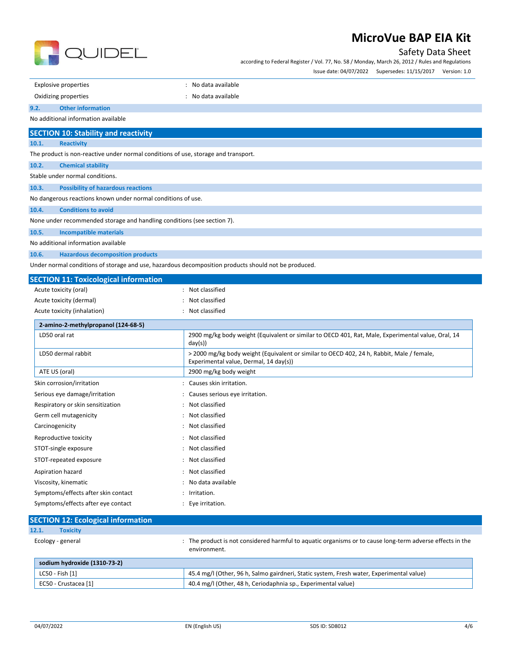

## Safety Data Sheet

according to Federal Register / Vol. 77, No. 58 / Monday, March 26, 2012 / Rules and Regulations Issue date: 04/07/2022 Supersedes: 11/15/2017 Version: 1.0

: No data available

| Oxidizing properties | : No data available |
|----------------------|---------------------|
|                      |                     |

#### **9.2. Other information**

No additional information available

# **SECTION 10: Stability and reactivity**

**10.1. Reactivity**

The product is non-reactive under normal conditions of use, storage and transport.

**10.2. Chemical stability**

Stable under normal conditions.

**10.3. Possibility of hazardous reactions**

No dangerous reactions known under normal conditions of use.

#### **10.4. Conditions to avoid**

None under recommended storage and handling conditions (see section 7).

**10.5. Incompatible materials**

No additional information available

**10.6. Hazardous decomposition products**

Under normal conditions of storage and use, hazardous decomposition products should not be produced.

| <b>SECTION 11: Toxicological information</b> |                                                                                                                                     |
|----------------------------------------------|-------------------------------------------------------------------------------------------------------------------------------------|
| Acute toxicity (oral)                        | Not classified                                                                                                                      |
| Acute toxicity (dermal)                      | : Not classified                                                                                                                    |
| Acute toxicity (inhalation)                  | : Not classified                                                                                                                    |
| 2-amino-2-methylpropanol (124-68-5)          |                                                                                                                                     |
| LD50 oral rat                                | 2900 mg/kg body weight (Equivalent or similar to OECD 401, Rat, Male, Experimental value, Oral, 14<br>day(s)                        |
| LD50 dermal rabbit                           | > 2000 mg/kg body weight (Equivalent or similar to OECD 402, 24 h, Rabbit, Male / female,<br>Experimental value, Dermal, 14 day(s)) |
| ATE US (oral)                                | 2900 mg/kg body weight                                                                                                              |
| Skin corrosion/irritation                    | : Causes skin irritation.                                                                                                           |
| Serious eye damage/irritation                | : Causes serious eye irritation.                                                                                                    |
| Respiratory or skin sensitization            | : Not classified                                                                                                                    |
| Germ cell mutagenicity                       | : Not classified                                                                                                                    |
| Carcinogenicity                              | : Not classified                                                                                                                    |
| Reproductive toxicity                        | : Not classified                                                                                                                    |
| STOT-single exposure                         | : Not classified                                                                                                                    |
| STOT-repeated exposure                       | : Not classified                                                                                                                    |
| Aspiration hazard                            | : Not classified                                                                                                                    |
| Viscosity, kinematic                         | : No data available                                                                                                                 |
| Symptoms/effects after skin contact          | : Irritation.                                                                                                                       |
| Symptoms/effects after eye contact           | Eye irritation.                                                                                                                     |

| <b>SECTION 12: Ecological information</b> |                                                                                                                         |
|-------------------------------------------|-------------------------------------------------------------------------------------------------------------------------|
| 12.1.<br><b>Toxicity</b>                  |                                                                                                                         |
| Ecology - general                         | The product is not considered harmful to aquatic organisms or to cause long-term adverse effects in the<br>environment. |
| sodium hydroxide (1310-73-2)              |                                                                                                                         |
| LC50 - Fish [1]                           | 45.4 mg/l (Other, 96 h, Salmo gairdneri, Static system, Fresh water, Experimental value)                                |
| EC50 - Crustacea [1]                      | 40.4 mg/l (Other, 48 h, Ceriodaphnia sp., Experimental value)                                                           |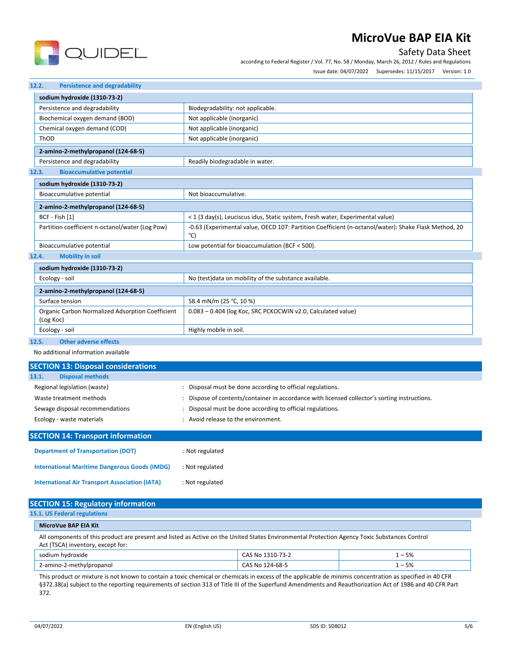

# Safety Data Sheet

according to Federal Register / Vol. 77, No. 58 / Monday, March 26, 2012 / Rules and Regulations Issue date: 04/07/2022 Supersedes: 11/15/2017 Version: 1.0

#### **12.2. Persistence and degradability**

| sodium hydroxide (1310-73-2)                                  |                                                                                                             |
|---------------------------------------------------------------|-------------------------------------------------------------------------------------------------------------|
| Persistence and degradability                                 | Biodegradability: not applicable.                                                                           |
| Biochemical oxygen demand (BOD)                               | Not applicable (inorganic)                                                                                  |
| Chemical oxygen demand (COD)                                  | Not applicable (inorganic)                                                                                  |
| ThOD                                                          | Not applicable (inorganic)                                                                                  |
| 2-amino-2-methylpropanol (124-68-5)                           |                                                                                                             |
| Persistence and degradability                                 | Readily biodegradable in water.                                                                             |
| <b>Bioaccumulative potential</b><br>12.3.                     |                                                                                                             |
| sodium hydroxide (1310-73-2)                                  |                                                                                                             |
| Bioaccumulative potential                                     | Not bioaccumulative.                                                                                        |
| 2-amino-2-methylpropanol (124-68-5)                           |                                                                                                             |
| BCF - Fish [1]                                                | < 1 (3 day(s), Leuciscus idus, Static system, Fresh water, Experimental value)                              |
| Partition coefficient n-octanol/water (Log Pow)               | -0.63 (Experimental value, OECD 107: Partition Coefficient (n-octanol/water): Shake Flask Method, 20<br>°C) |
| Bioaccumulative potential                                     | Low potential for bioaccumulation (BCF < 500).                                                              |
| <b>Mobility in soil</b><br>12.4.                              |                                                                                                             |
| sodium hydroxide (1310-73-2)                                  |                                                                                                             |
| Ecology - soil                                                | No (test) data on mobility of the substance available.                                                      |
| 2-amino-2-methylpropanol (124-68-5)                           |                                                                                                             |
| Surface tension                                               | 58.4 mN/m (25 °C, 10 %)                                                                                     |
| Organic Carbon Normalized Adsorption Coefficient<br>(Log Koc) | 0.083 - 0.404 (log Koc, SRC PCKOCWIN v2.0, Calculated value)                                                |
| Ecology - soil                                                | Highly mobile in soil.                                                                                      |

## **12.5. Other adverse effects**

No additional information available

**International Air Transport Association (IATA)** : Not regulated

| <b>SECTION 13: Disposal considerations</b>           |                                                                                             |
|------------------------------------------------------|---------------------------------------------------------------------------------------------|
| <b>Disposal methods</b><br>13.1.                     |                                                                                             |
| Regional legislation (waste)                         | Disposal must be done according to official regulations.                                    |
| Waste treatment methods                              | Dispose of contents/container in accordance with licensed collector's sorting instructions. |
| Sewage disposal recommendations                      | Disposal must be done according to official regulations.<br>٠                               |
| Ecology - waste materials                            | Avoid release to the environment.                                                           |
|                                                      |                                                                                             |
| <b>SECTION 14: Transport information</b>             |                                                                                             |
| <b>Department of Transportation (DOT)</b>            | : Not regulated                                                                             |
| <b>International Maritime Dangerous Goods (IMDG)</b> | : Not regulated                                                                             |

| <b>SECTION 15: Regulatory information</b>                                                                                                                                          |                          |                  |          |  |
|------------------------------------------------------------------------------------------------------------------------------------------------------------------------------------|--------------------------|------------------|----------|--|
| 15.1. US Federal regulations                                                                                                                                                       |                          |                  |          |  |
|                                                                                                                                                                                    | MicroVue BAP EIA Kit     |                  |          |  |
| All components of this product are present and listed as Active on the United States Environmental Protection Agency Toxic Substances Control<br>Act (TSCA) inventory, except for: |                          |                  |          |  |
|                                                                                                                                                                                    | sodium hydroxide         | CAS No 1310-73-2 | $1 - 5%$ |  |
|                                                                                                                                                                                    | 2-amino-2-methylpropanol | CAS No 124-68-5  | $1 - 5%$ |  |

This product or mixture is not known to contain a toxic chemical or chemicals in excess of the applicable de minimis concentration as specified in 40 CFR §372.38(a) subject to the reporting requirements of section 313 of Title III of the Superfund Amendments and Reauthorization Act of 1986 and 40 CFR Part 372.